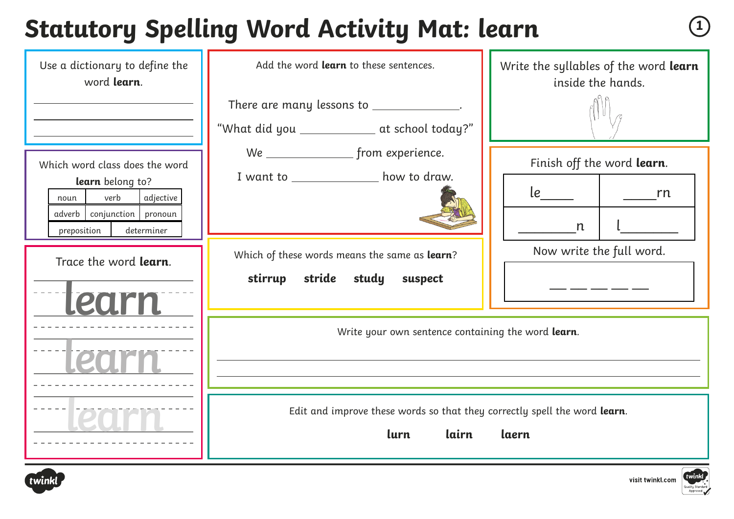#### **Statutory Spelling Word Activity Mat: learn**  $\sqrt{1}$

| Use a dictionary to define the<br>word learn.                                                                                                  | Add the word learn to these sentences.                                                              | Write the syllables of the word learn<br>inside the hands. |
|------------------------------------------------------------------------------------------------------------------------------------------------|-----------------------------------------------------------------------------------------------------|------------------------------------------------------------|
|                                                                                                                                                | There are many lessons to ______________.<br>"What did you ______________ at school today?"         |                                                            |
| Which word class does the word<br>learn belong to?<br>verb<br>adjective<br>noun<br>adverb   conjunction   pronoun<br>preposition<br>determiner | I want to ________________ how to draw.                                                             | Finish off the word learn.<br><b>rn</b><br>$\mathsf{n}$    |
| Trace the word learn.<br>llearn                                                                                                                | Which of these words means the same as learn?<br>stirrup<br>stride study<br>suspect                 | Now write the full word.                                   |
|                                                                                                                                                | Write your own sentence containing the word learn.                                                  |                                                            |
|                                                                                                                                                | Edit and improve these words so that they correctly spell the word learn.<br>lurn<br>lairn<br>laern |                                                            |



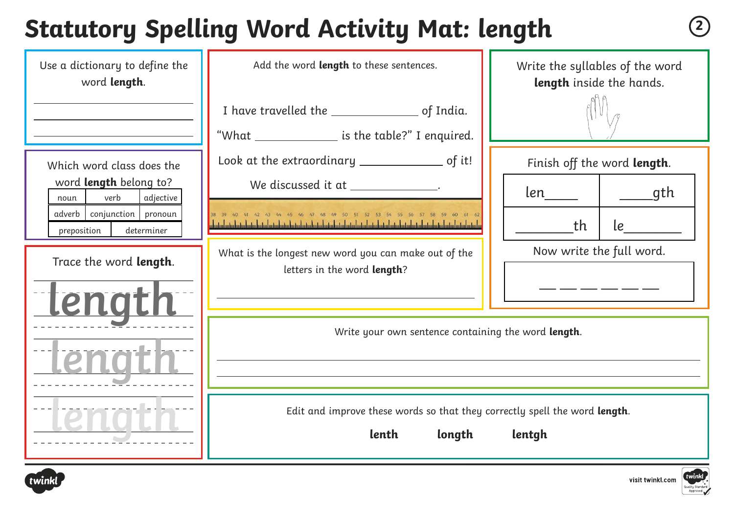# **Statutory Spelling Word Activity Mat: length <sup>2</sup>**

| Use a dictionary to define the<br>word length.             | Add the word length to these sentences.                                                                           | Write the syllables of the word<br>length inside the hands. |  |
|------------------------------------------------------------|-------------------------------------------------------------------------------------------------------------------|-------------------------------------------------------------|--|
|                                                            | "What ________________ is the table?" I enquired.                                                                 |                                                             |  |
| Which word class does the                                  | Look at the extraordinary ___________________ of it!                                                              | Finish off the word length.                                 |  |
| word <b>length</b> belong to?<br>verb<br>adjective<br>noun | We discussed it at ______________.                                                                                | _____gth                                                    |  |
| adverb conjunction pronoun<br>preposition<br>determiner    | 38 39 40 41 42 43 44 45 46 47 48 49 50 51 52 53 54 55 56 57 58 59 60 61 62                                        | le<br>th                                                    |  |
| Trace the word length.                                     | What is the longest new word you can make out of the<br>letters in the word length?                               | Now write the full word.                                    |  |
| tengtl                                                     |                                                                                                                   |                                                             |  |
|                                                            | Write your own sentence containing the word length.<br><u> 1980 - Johann Barn, amerikansk politiker (d. 1980)</u> |                                                             |  |
|                                                            |                                                                                                                   |                                                             |  |
|                                                            | Edit and improve these words so that they correctly spell the word length.<br>lenth<br>longth<br>lentgh           |                                                             |  |

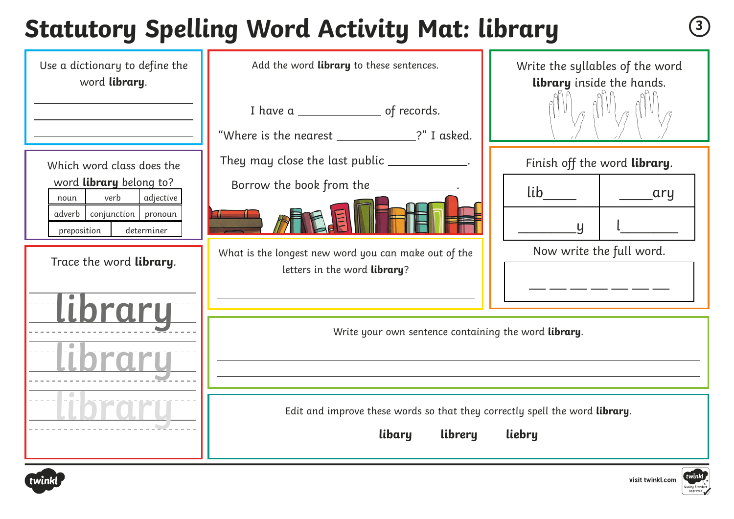# **Statutory Spelling Word Activity Mat: library <sup>3</sup>**

| Use a dictionary to define the<br>word library.                                                                                                                            | Add the word library to these sentences.<br>I have a _______________________ of records.<br>"Where is the nearest ____________?" I asked.                                                                               | Write the syllables of the word<br>library inside the hands.                           |
|----------------------------------------------------------------------------------------------------------------------------------------------------------------------------|-------------------------------------------------------------------------------------------------------------------------------------------------------------------------------------------------------------------------|----------------------------------------------------------------------------------------|
| Which word class does the<br>word library belong to?<br>verb<br>adjective<br>noun<br>adverb conjunction<br>pronoun<br>preposition<br>determiner<br>Trace the word library. | They may close the last public _____________.<br>Borrow the book from the ________<br>What is the longest new word you can make out of the<br>letters in the word library?                                              | Finish off the word library.<br>lib<br>ary<br>$\mathsf{U}$<br>Now write the full word. |
|                                                                                                                                                                            | Write your own sentence containing the word library.<br><u> 1989 - Johann Stoff, amerikansk politiker (d. 1989)</u><br>Edit and improve these words so that they correctly spell the word library.<br>libary<br>librery | liebry                                                                                 |



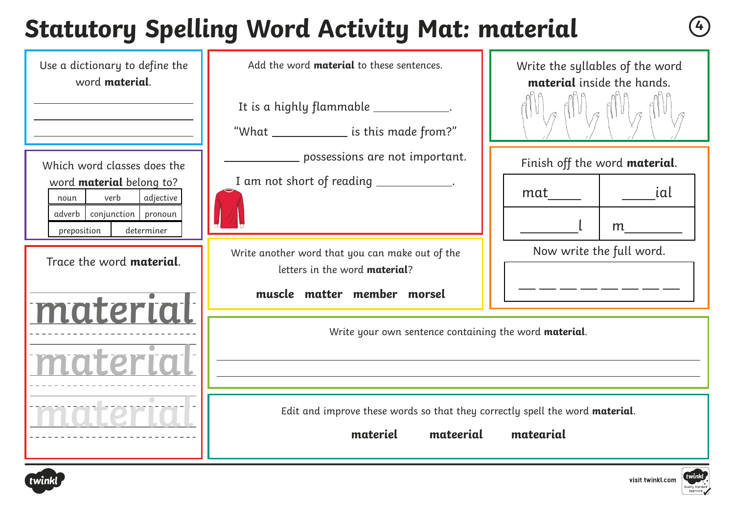# **Statutory Spelling Word Activity Mat: material <sup>4</sup>**

| Use a dictionary to define the<br>word <b>material</b> .                                                                                                  | Add the word <b>material</b> to these sentences.<br>It is a highly flammable ____________.<br>"What _______________ is this made from?"                                         | Write the syllables of the word<br>material inside the hands.       |
|-----------------------------------------------------------------------------------------------------------------------------------------------------------|---------------------------------------------------------------------------------------------------------------------------------------------------------------------------------|---------------------------------------------------------------------|
| Which word classes does the<br>word <b>material</b> belong to?<br>verb<br>adjective<br>noun<br>adverb conjunction<br>pronoun<br>preposition<br>determiner | _ possessions are not important.<br>I am not short of reading ____________.                                                                                                     | Finish off the word material.<br>ial<br>mat<br>m                    |
| Trace the word material.<br>material                                                                                                                      | Write another word that you can make out of the<br>letters in the word material?<br>muscle matter member morsel                                                                 | Now write the full word.<br><u> 1989 - Andre Jane III, martin d</u> |
|                                                                                                                                                           | Write your own sentence containing the word material.<br><u> 1989 - Johann Stoff, deutscher Stoffen und der Stoffen und der Stoffen und der Stoffen und der Stoffen und der</u> |                                                                     |
|                                                                                                                                                           | Edit and improve these words so that they correctly spell the word material.<br>materiel<br>mateerial<br>matearial                                                              |                                                                     |